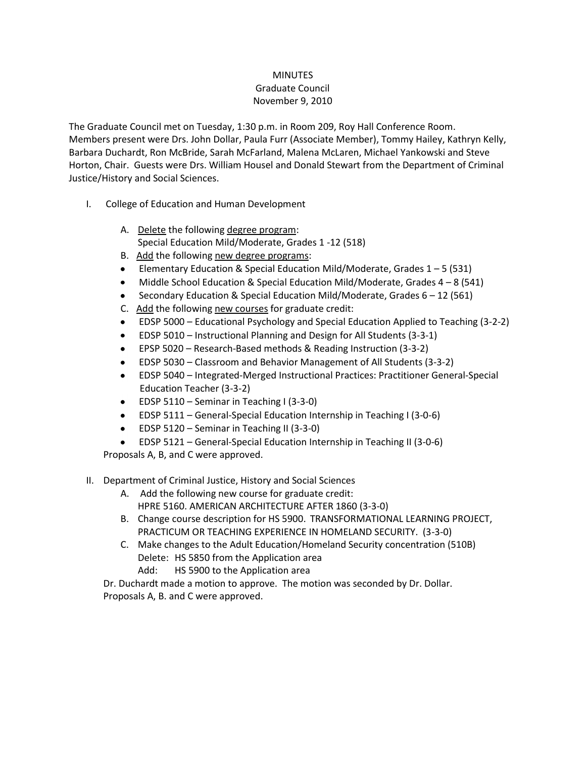## **MINUTES**

## Graduate Council November 9, 2010

The Graduate Council met on Tuesday, 1:30 p.m. in Room 209, Roy Hall Conference Room. Members present were Drs. John Dollar, Paula Furr (Associate Member), Tommy Hailey, Kathryn Kelly, Barbara Duchardt, Ron McBride, Sarah McFarland, Malena McLaren, Michael Yankowski and Steve Horton, Chair. Guests were Drs. William Housel and Donald Stewart from the Department of Criminal Justice/History and Social Sciences.

- I. College of Education and Human Development
	- A. Delete the following degree program: Special Education Mild/Moderate, Grades 1 -12 (518)
	- B. Add the following new degree programs:
	- Elementary Education & Special Education Mild/Moderate, Grades  $1 5$  (531)
	- Middle School Education & Special Education Mild/Moderate, Grades  $4 8$  (541)
	- Secondary Education & Special Education Mild/Moderate, Grades 6 12 (561)
	- C. Add the following new courses for graduate credit:
	- EDSP 5000 Educational Psychology and Special Education Applied to Teaching (3-2-2)
	- EDSP 5010 Instructional Planning and Design for All Students (3-3-1)
	- EPSP 5020 Research-Based methods & Reading Instruction (3-3-2)
	- EDSP 5030 Classroom and Behavior Management of All Students (3-3-2)
	- EDSP 5040 Integrated-Merged Instructional Practices: Practitioner General-Special Education Teacher (3-3-2)
	- $\bullet$  EDSP 5110 Seminar in Teaching I (3-3-0)
	- EDSP 5111 General-Special Education Internship in Teaching I (3-0-6)
	- $\bullet$  EDSP 5120 Seminar in Teaching II (3-3-0)
	- EDSP 5121 General-Special Education Internship in Teaching II (3-0-6)

Proposals A, B, and C were approved.

## II. Department of Criminal Justice, History and Social Sciences

- A. Add the following new course for graduate credit: HPRE 5160. AMERICAN ARCHITECTURE AFTER 1860 (3-3-0)
- B. Change course description for HS 5900. TRANSFORMATIONAL LEARNING PROJECT, PRACTICUM OR TEACHING EXPERIENCE IN HOMELAND SECURITY. (3-3-0)
- C. Make changes to the Adult Education/Homeland Security concentration (510B) Delete: HS 5850 from the Application area
	- Add: HS 5900 to the Application area

Dr. Duchardt made a motion to approve. The motion was seconded by Dr. Dollar. Proposals A, B. and C were approved.